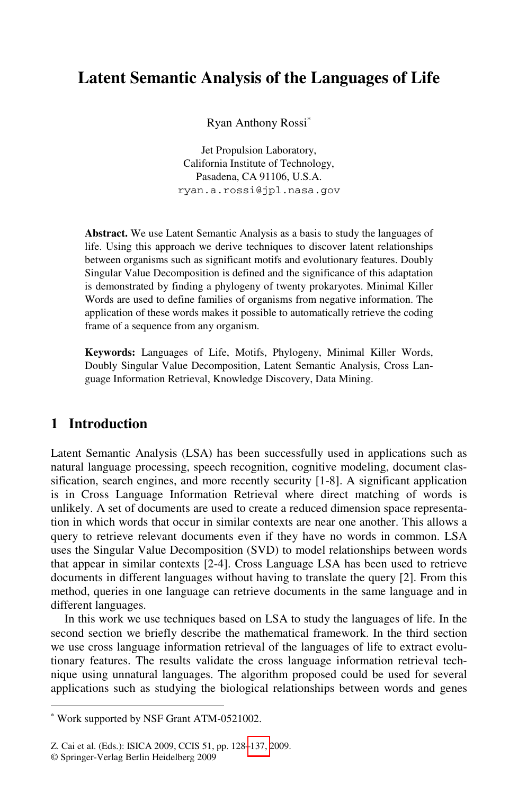# **Latent Semantic Analysis of the Languages of Life**

Ryan Anthony Rossi<sup>∗</sup>

Jet Propulsion Laboratory, California Institute of Technology, Pasadena, CA 91106, U.S.A. ryan.a.rossi@jpl.nasa.gov

**Abstract.** We use Latent Semantic Analysis as a basis to study the languages of life. Using this approach we derive techniques to discover latent relationships between organisms such as significant motifs and evolutionary features. Doubly Singular Value Decomposition is defined and the significance of this adaptation is demonstrated by finding a phylogeny of twenty prokaryotes. Minimal Killer Words are used to define families of organisms from negative information. The application of these words makes it possible to automatically retrieve the coding frame of a sequence from any organism.

**Keywords:** Languages of Life, Motifs, Phylogeny, Minimal Killer Words, Doubly Singular Value Decomposition, Latent Semantic Analysis, Cross Language Information Retrieval, Knowledge Discovery, Data Mining.

#### **1 Introduction**

Latent Semantic Analysis (LSA) has been successfully used in applications such as natural language processing, speech recognition, cognitive modeling, document classification, search engines, and more recently security [1-8]. A significant application is in Cross Language Information Retrieval where direct matching of words is unlikely. A set of documents are used to create a reduced dimension space representation in which words that occur in similar contexts are near one another. This allows a query to retrieve relevant documents even if they have no words in common. LSA uses the Singular Value Decomposition (SVD) to model relationships between words that appear in similar contexts [2-4]. Cross Language LSA has been used to retrieve documents in different languages without having to translate the query [2]. From this method, queries in one language can retrieve documents in the same language and in different languages.

In this work we use techniques based on LSA to study the languages of life. In the second section we [briefl](#page-9-0)y describe the mathematical framework. In the third section we use cross language information retrieval of the languages of life to extract evolutionary features. The results validate the cross language information retrieval technique using unnatural languages. The algorithm proposed could be used for several applications such as studying the biological relationships between words and genes

-

<sup>∗</sup> Work supported by NSF Grant ATM-0521002.

Z. Cai et al. (Eds.): ISICA 2009, CCIS 51, pp. 128–137, 2009.

<sup>©</sup> Springer-Verlag Berlin Heidelberg 2009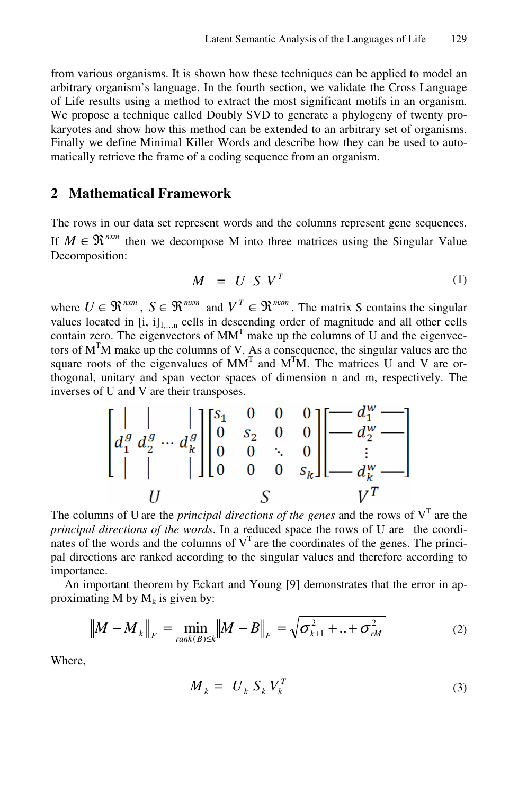from various organisms. It is shown how these techniques can be applied to model an arbitrary organism's language. In the fourth section, we validate the Cross Language of Life results using a method to extract the most significant motifs in an organism. We propose a technique called Doubly SVD to generate a phylogeny of twenty prokaryotes and show how this method can be extended to an arbitrary set of organisms. Finally we define Minimal Killer Words and describe how they can be used to automatically retrieve the frame of a coding sequence from an organism.

#### **2 Mathematical Framework**

The rows in our data set represent words and the columns represent gene sequences. If  $M \in \mathbb{R}^{n \times m}$  then we decompose M into three matrices using the Singular Value Decomposition:

$$
M = U S VT
$$
 (1)

where  $U \in \mathfrak{R}^{n \times m}$ ,  $S \in \mathfrak{R}^{m \times m}$  and  $V^T \in \mathfrak{R}^{m \times m}$ . The matrix S contains the singular values located in  $[i, i]_{1,\ldots,n}$  cells in descending order of magnitude and all other cells contain zero. The eigenvectors of  $MM<sup>T</sup>$  make up the columns of U and the eigenvectors of  $M<sup>T</sup>M$  make up the columns of V. As a consequence, the singular values are the square roots of the eigenvalues of  $MM<sup>T</sup>$  and  $M<sup>T</sup>M$ . The matrices U and V are orthogonal, unitary and span vector spaces of dimension n and m, respectively. The inverses of U and V are their transposes.

$$
\begin{bmatrix}\n| & | & | \\
d_1^g & d_2^g & \cdots & d_k^g \\
| & | & | & | \n\end{bmatrix}\n\begin{bmatrix}\ns_1 & 0 & 0 & 0 \\
0 & s_2 & 0 & 0 \\
0 & 0 & \ddots & 0 \\
0 & 0 & 0 & s_k\n\end{bmatrix}\n\begin{bmatrix}\n-d_1^w - \\
-d_2^w - \\
\vdots \\
-d_k^w -\n\end{bmatrix}
$$
\n*U*

The columns of U are the *principal directions of the genes* and the rows of  $V<sup>T</sup>$  are the *principal directions of the words*. In a reduced space the rows of U are the coordinates of the words and the columns of  $V<sup>T</sup>$  are the coordinates of the genes. The principal directions are ranked according to the singular values and therefore according to importance.

An important theorem by Eckart and Young [9] demonstrates that the error in approximating M by  $M_k$  is given by:

$$
||M - M_k||_F = \min_{rank(B) \le k} ||M - B||_F = \sqrt{\sigma_{k+1}^2 + ... + \sigma_{rM}^2}
$$
 (2)

Where,

$$
M_k = U_k S_k V_k^T \tag{3}
$$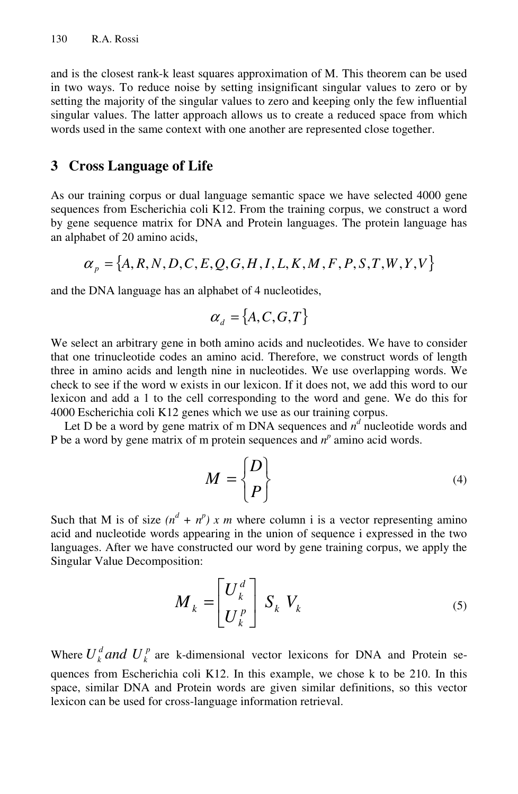and is the closest rank-k least squares approximation of M. This theorem can be used in two ways. To reduce noise by setting insignificant singular values to zero or by setting the majority of the singular values to zero and keeping only the few influential singular values. The latter approach allows us to create a reduced space from which words used in the same context with one another are represented close together.

# **3 Cross Language of Life**

As our training corpus or dual language semantic space we have selected 4000 gene sequences from Escherichia coli K12. From the training corpus, we construct a word by gene sequence matrix for DNA and Protein languages. The protein language has an alphabet of 20 amino acids,

$$
\alpha_p = \{A, R, N, D, C, E, Q, G, H, I, L, K, M, F, P, S, T, W, Y, V\}
$$

and the DNA language has an alphabet of 4 nucleotides,

$$
\alpha_d = \{A, C, G, T\}
$$

We select an arbitrary gene in both amino acids and nucleotides. We have to consider that one trinucleotide codes an amino acid. Therefore, we construct words of length three in amino acids and length nine in nucleotides. We use overlapping words. We check to see if the word w exists in our lexicon. If it does not, we add this word to our lexicon and add a 1 to the cell corresponding to the word and gene. We do this for 4000 Escherichia coli K12 genes which we use as our training corpus.

Let D be a word by gene matrix of m DNA sequences and  $n<sup>d</sup>$  nucleotide words and P be a word by gene matrix of m protein sequences and  $n<sup>p</sup>$  amino acid words.

$$
M = \begin{Bmatrix} D \\ P \end{Bmatrix} \tag{4}
$$

Such that M is of size  $(n^d + n^p)$  x m where column i is a vector representing amino acid and nucleotide words appearing in the union of sequence i expressed in the two languages. After we have constructed our word by gene training corpus, we apply the Singular Value Decomposition:

$$
M_{k} = \begin{bmatrix} U_{k}^{d} \\ U_{k}^{p} \end{bmatrix} S_{k} V_{k}
$$
 (5)

Where  $U_k^d$  *and*  $U_k^p$  are k-dimensional vector lexicons for DNA and Protein sequences from Escherichia coli K12. In this example, we chose k to be 210. In this space, similar DNA and Protein words are given similar definitions, so this vector lexicon can be used for cross-language information retrieval.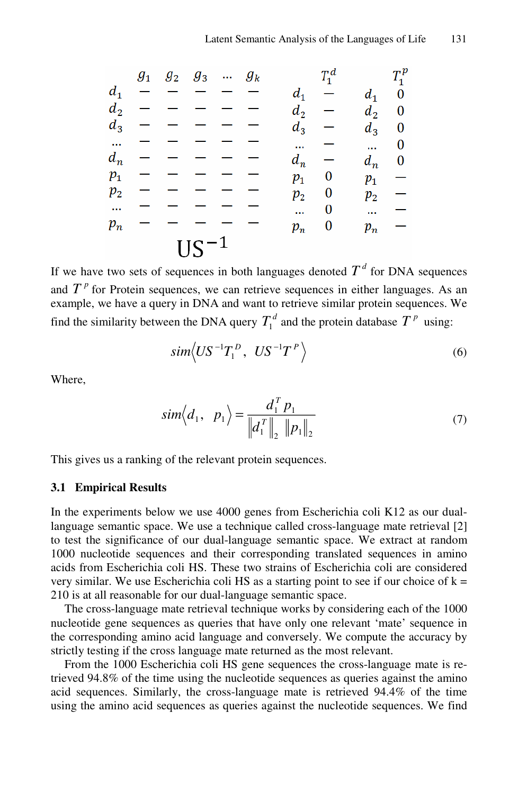|           | $g_{\tiny 1}$ | $g_2$ $g_3$ | $\mathbf{r}$ and | $g_k$ | $T_1^d$                        | $T_1^p$  |
|-----------|---------------|-------------|------------------|-------|--------------------------------|----------|
| $d_1$     |               |             |                  |       | $d_1$<br>$d_{1}$               | $\bf{0}$ |
| $d_2$     |               |             |                  |       | $d_2$<br>$d_2$                 | $\bf{0}$ |
| $d_3$     |               |             |                  |       | $d_3$<br>$d_3$                 | $\bf{0}$ |
| $\ddotsc$ |               |             |                  |       | <br>                           | $\bf{0}$ |
| $d_n$     |               |             |                  |       | $d_n$<br>$d_n$                 | 0        |
| $p_{1}$   |               |             |                  |       | $\bf{0}$<br>$p_{1}$<br>$p_{1}$ |          |
| $p_{2}$   |               |             |                  |       | 0<br>$p_{2}$<br>$p_{2}$        |          |
| $\ddotsc$ |               |             |                  |       | $\bf{0}$<br><br>               |          |
| $p_n$     |               |             |                  |       | $\bf{0}$<br>$p_n$<br>$p_n$     |          |
|           |               | $US^{-1}$   |                  |       |                                |          |

If we have two sets of sequences in both languages denoted  $T<sup>d</sup>$  for DNA sequences and  $T^p$  for Protein sequences, we can retrieve sequences in either languages. As an example, we have a query in DNA and want to retrieve similar protein sequences. We find the similarity between the DNA query  $T_1^d$  and the protein database  $T^p$  using:

$$
\text{sim}\left\langle US^{-1}T_{1}^{D}, US^{-1}T^{P}\right\rangle \tag{6}
$$

Where,

$$
sim\langle d_1, p_1 \rangle = \frac{d_1^T p_1}{\left\| d_1^T \right\|_2 \left\| p_1 \right\|_2}
$$
 (7)

This gives us a ranking of the relevant protein sequences.

#### **3.1 Empirical Results**

In the experiments below we use 4000 genes from Escherichia coli K12 as our duallanguage semantic space. We use a technique called cross-language mate retrieval [2] to test the significance of our dual-language semantic space. We extract at random 1000 nucleotide sequences and their corresponding translated sequences in amino acids from Escherichia coli HS. These two strains of Escherichia coli are considered very similar. We use Escherichia coli HS as a starting point to see if our choice of  $k =$ 210 is at all reasonable for our dual-language semantic space.

The cross-language mate retrieval technique works by considering each of the 1000 nucleotide gene sequences as queries that have only one relevant 'mate' sequence in the corresponding amino acid language and conversely. We compute the accuracy by strictly testing if the cross language mate returned as the most relevant.

From the 1000 Escherichia coli HS gene sequences the cross-language mate is retrieved 94.8% of the time using the nucleotide sequences as queries against the amino acid sequences. Similarly, the cross-language mate is retrieved 94.4% of the time using the amino acid sequences as queries against the nucleotide sequences. We find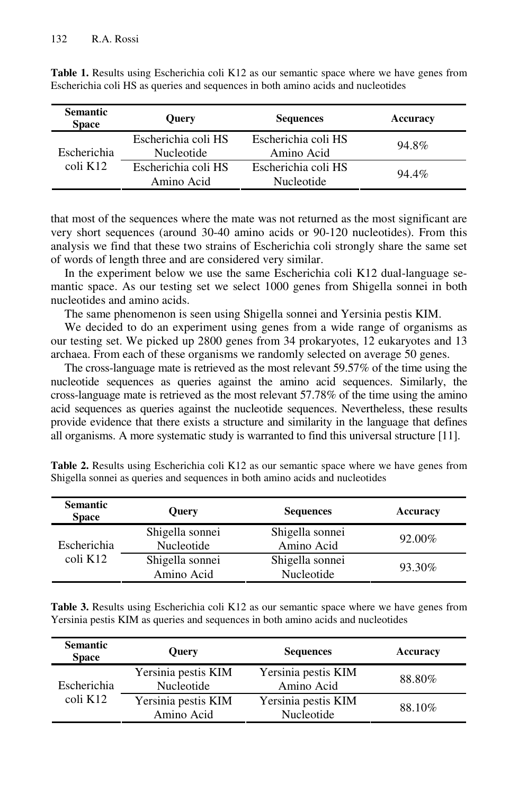| <b>Semantic</b><br><b>Space</b> | <b>Query</b>                      | <b>Sequences</b>                  | Accuracy |  |  |
|---------------------------------|-----------------------------------|-----------------------------------|----------|--|--|
| Escherichia                     | Escherichia coli HS<br>Nucleotide | Escherichia coli HS<br>Amino Acid | 94.8%    |  |  |
| coli K12                        | Escherichia coli HS<br>Amino Acid | Escherichia coli HS<br>Nucleotide | $94.4\%$ |  |  |

**Table 1.** Results using Escherichia coli K12 as our semantic space where we have genes from Escherichia coli HS as queries and sequences in both amino acids and nucleotides

that most of the sequences where the mate was not returned as the most significant are very short sequences (around 30-40 amino acids or 90-120 nucleotides). From this analysis we find that these two strains of Escherichia coli strongly share the same set of words of length three and are considered very similar.

In the experiment below we use the same Escherichia coli K12 dual-language semantic space. As our testing set we select 1000 genes from Shigella sonnei in both nucleotides and amino acids.

The same phenomenon is seen using Shigella sonnei and Yersinia pestis KIM.

We decided to do an experiment using genes from a wide range of organisms as our testing set. We picked up 2800 genes from 34 prokaryotes, 12 eukaryotes and 13 archaea. From each of these organisms we randomly selected on average 50 genes.

The cross-language mate is retrieved as the most relevant 59.57% of the time using the nucleotide sequences as queries against the amino acid sequences. Similarly, the cross-language mate is retrieved as the most relevant 57.78% of the time using the amino acid sequences as queries against the nucleotide sequences. Nevertheless, these results provide evidence that there exists a structure and similarity in the language that defines all organisms. A more systematic study is warranted to find this universal structure [11].

| <b>Semantic</b><br><b>Space</b> | <b>Query</b>                  | <b>Sequences</b>              | Accuracy |  |  |
|---------------------------------|-------------------------------|-------------------------------|----------|--|--|
| Escherichia                     | Shigella sonnei<br>Nucleotide | Shigella sonnei<br>Amino Acid | 92.00%   |  |  |
| coli K12                        | Shigella sonnei<br>Amino Acid | Shigella sonnei<br>Nucleotide | 93.30%   |  |  |

**Table 2.** Results using Escherichia coli K12 as our semantic space where we have genes from Shigella sonnei as queries and sequences in both amino acids and nucleotides

**Table 3.** Results using Escherichia coli K12 as our semantic space where we have genes from Yersinia pestis KIM as queries and sequences in both amino acids and nucleotides

| <b>Semantic</b><br><b>Space</b> | <b>Query</b>                      | <b>Sequences</b>                  | Accuracy |  |  |
|---------------------------------|-----------------------------------|-----------------------------------|----------|--|--|
| Escherichia                     | Yersinia pestis KIM<br>Nucleotide | Yersinia pestis KIM<br>Amino Acid | 88.80%   |  |  |
| coli K12                        | Yersinia pestis KIM<br>Amino Acid | Yersinia pestis KIM<br>Nucleotide | 88.10%   |  |  |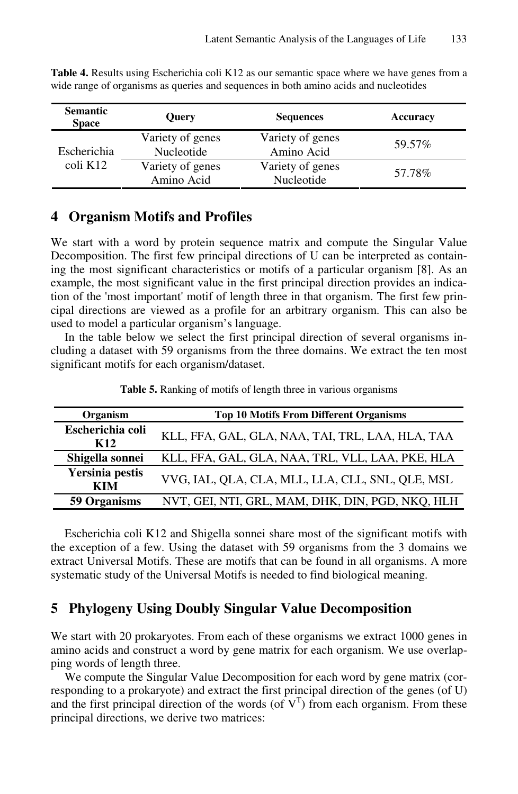| <b>Semantic</b><br><b>Space</b> | <b>Query</b>                   | <b>Sequences</b>               | Accuracy |  |  |
|---------------------------------|--------------------------------|--------------------------------|----------|--|--|
| Escherichia                     | Variety of genes<br>Nucleotide | Variety of genes<br>Amino Acid | 59.57%   |  |  |
| coli K <sub>12</sub>            | Variety of genes<br>Amino Acid | Variety of genes<br>Nucleotide | 57.78%   |  |  |

**Table 4.** Results using Escherichia coli K12 as our semantic space where we have genes from a wide range of organisms as queries and sequences in both amino acids and nucleotides

#### **4 Organism Motifs and Profiles**

We start with a word by protein sequence matrix and compute the Singular Value Decomposition. The first few principal directions of U can be interpreted as containing the most significant characteristics or motifs of a particular organism [8]. As an example, the most significant value in the first principal direction provides an indication of the 'most important' motif of length three in that organism. The first few principal directions are viewed as a profile for an arbitrary organism. This can also be used to model a particular organism's language.

In the table below we select the first principal direction of several organisms including a dataset with 59 organisms from the three domains. We extract the ten most significant motifs for each organism/dataset.

| Organism                            | <b>Top 10 Motifs From Different Organisms</b>    |
|-------------------------------------|--------------------------------------------------|
| Escherichia coli<br>K <sub>12</sub> | KLL, FFA, GAL, GLA, NAA, TAI, TRL, LAA, HLA, TAA |
| Shigella sonnei                     | KLL, FFA, GAL, GLA, NAA, TRL, VLL, LAA, PKE, HLA |
| <b>Yersinia</b> pestis<br>KIM       | VVG, IAL, QLA, CLA, MLL, LLA, CLL, SNL, QLE, MSL |
| 59 Organisms                        | NVT, GEI, NTI, GRL, MAM, DHK, DIN, PGD, NKQ, HLH |

**Table 5.** Ranking of motifs of length three in various organisms

Escherichia coli K12 and Shigella sonnei share most of the significant motifs with the exception of a few. Using the dataset with 59 organisms from the 3 domains we extract Universal Motifs. These are motifs that can be found in all organisms. A more systematic study of the Universal Motifs is needed to find biological meaning.

## **5 Phylogeny Using Doubly Singular Value Decomposition**

We start with 20 prokaryotes. From each of these organisms we extract 1000 genes in amino acids and construct a word by gene matrix for each organism. We use overlapping words of length three.

We compute the Singular Value Decomposition for each word by gene matrix (corresponding to a prokaryote) and extract the first principal direction of the genes (of U) and the first principal direction of the words (of  $V<sup>T</sup>$ ) from each organism. From these principal directions, we derive two matrices: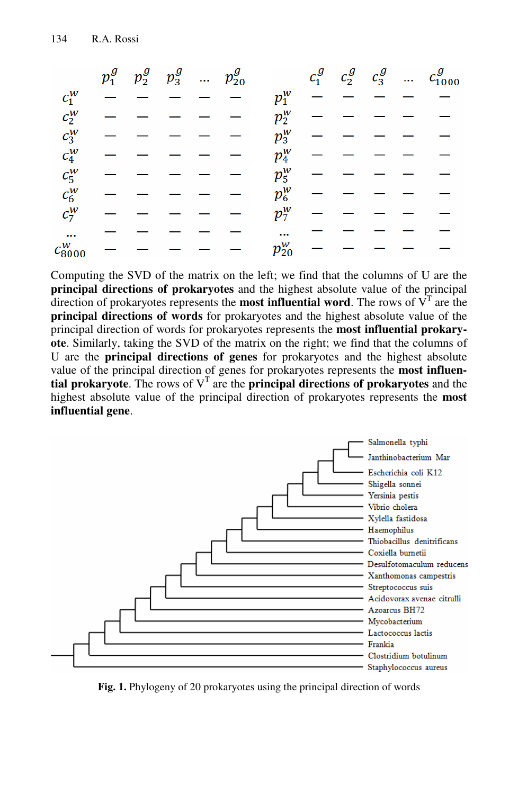|                                | $p_1^g$ $p_2^g$ $p_3^g$ $p_{20}^g$ |  |            |  |  | $c_1^g$ $c_2^g$ $c_3^g$ $c_{1000}^g$ |
|--------------------------------|------------------------------------|--|------------|--|--|--------------------------------------|
| $c_1^w$                        |                                    |  | $p_1^w$    |  |  |                                      |
| $c_2^w$                        |                                    |  | $p_2^w$    |  |  |                                      |
| $c_3^w$                        |                                    |  | $p_3^w$    |  |  |                                      |
| $c_4^w$                        |                                    |  | $p_4^w$    |  |  |                                      |
| $c_5^w$                        |                                    |  | $p_5^w$    |  |  |                                      |
| $c_6^w$                        |                                    |  | $p_6^w$    |  |  |                                      |
| $c_7^w$                        |                                    |  | $p_7^w$    |  |  |                                      |
| $\cdots$                       |                                    |  |            |  |  |                                      |
| $c^\mathrm{\textit{w}}_{8000}$ |                                    |  | $p_{20}^w$ |  |  |                                      |

Computing the SVD of the matrix on the left; we find that the columns of U are the **principal directions of prokaryotes** and the highest absolute value of the principal direction of prokaryotes represents the **most influential word**. The rows of  $\tilde{V}^T$  are the **principal directions of words** for prokaryotes and the highest absolute value of the principal direction of words for prokaryotes represents the **most influential prokaryote**. Similarly, taking the SVD of the matrix on the right; we find that the columns of U are the **principal directions of genes** for prokaryotes and the highest absolute value of the principal direction of genes for prokaryotes represents the **most influential prokaryote**. The rows of V<sup>T</sup> are the **principal directions of prokaryotes** and the highest absolute value of the principal direction of prokaryotes represents the **most influential gene**.



**Fig. 1.** Phylogeny of 20 prokaryotes using the principal direction of words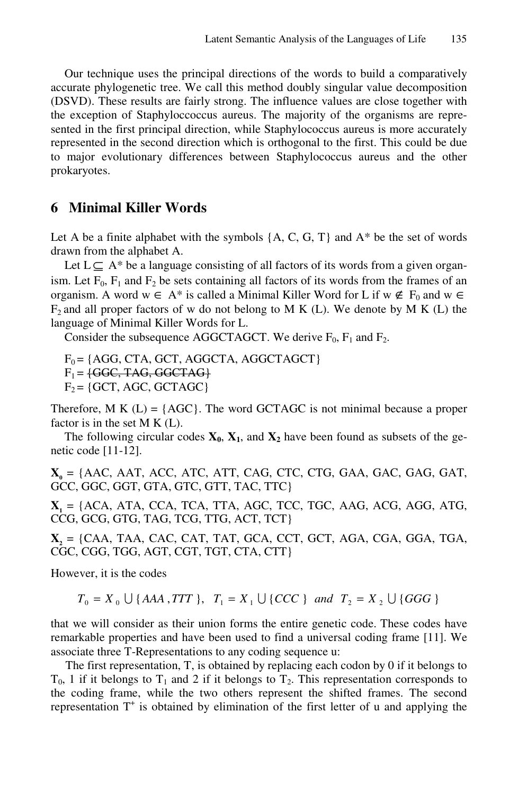Our technique uses the principal directions of the words to build a comparatively accurate phylogenetic tree. We call this method doubly singular value decomposition (DSVD). These results are fairly strong. The influence values are close together with the exception of Staphyloccoccus aureus. The majority of the organisms are represented in the first principal direction, while Staphylococcus aureus is more accurately represented in the second direction which is orthogonal to the first. This could be due to major evolutionary differences between Staphylococcus aureus and the other prokaryotes.

#### **6 Minimal Killer Words**

Let A be a finite alphabet with the symbols  $\{A, C, G, T\}$  and  $A^*$  be the set of words drawn from the alphabet A.

Let  $L \subseteq A^*$  be a language consisting of all factors of its words from a given organism. Let  $F_0$ ,  $F_1$  and  $F_2$  be sets containing all factors of its words from the frames of an organism. A word w ∈ A\* is called a Minimal Killer Word for L if  $w \notin F_0$  and  $w \in$  $F_2$  and all proper factors of w do not belong to M K (L). We denote by M K (L) the language of Minimal Killer Words for L.

Consider the subsequence AGGCTAGCT. We derive  $F_0$ ,  $F_1$  and  $F_2$ .

 $F_0 = \{AGG, CTA, GCT, AGGCTA, AGGCTAGCT\}$  $F_1 = \{GGC, TAG, GGCTAG\}$  $F_2 = \{GCT, AGC, GCTAGC\}$ 

Therefore, M K  $(L) = \{AGC\}$ . The word GCTAGC is not minimal because a proper factor is in the set  $M K (L)$ .

The following circular codes  $X_0$ ,  $X_1$ , and  $X_2$  have been found as subsets of the genetic code [11-12].

**X**<sub>0</sub> = {AAC, AAT, ACC, ATC, ATT, CAG, CTC, CTG, GAA, GAC, GAG, GAT, GCC, GGC, GGT, GTA, GTC, GTT, TAC, TTC}

 $X_1 = \{ACA, ATA, CCA, TCA, TTA, AGC, TCC, TGC, AAG, ACG, AGG, ATG,$ CCG, GCG, GTG, TAG, TCG, TTG, ACT, TCT}

**X2** = {CAA, TAA, CAC, CAT, TAT, GCA, CCT, GCT, AGA, CGA, GGA, TGA, CGC, CGG, TGG, AGT, CGT, TGT, CTA, CTT}

However, it is the codes

 ${T_0} = X_0 \cup \{AAA, TTT\}$ ,  ${T_1} = X_1 \cup \{CCC\}$  and  ${T_2} = X_2 \cup \{GGG\}$ 

that we will consider as their union forms the entire genetic code. These codes have remarkable properties and have been used to find a universal coding frame [11]. We associate three T-Representations to any coding sequence u:

The first representation, T, is obtained by replacing each codon by 0 if it belongs to  $T_0$ , 1 if it belongs to  $T_1$  and 2 if it belongs to  $T_2$ . This representation corresponds to the coding frame, while the two others represent the shifted frames. The second representation  $T^+$  is obtained by elimination of the first letter of u and applying the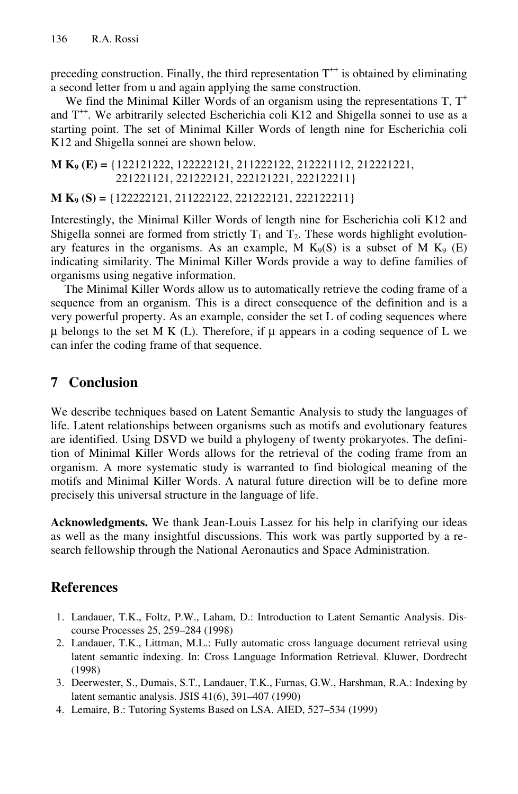preceding construction. Finally, the third representation  $T^{++}$  is obtained by eliminating a second letter from u and again applying the same construction.

We find the Minimal Killer Words of an organism using the representations  $T, T^+$ and  $T^{+}$ . We arbitrarily selected Escherichia coli K12 and Shigella sonnei to use as a starting point. The set of Minimal Killer Words of length nine for Escherichia coli K12 and Shigella sonnei are shown below.

```
M K9 (E) = {122121222, 122222121, 211222122, 212221112, 212221221, 
            221221121, 221222121, 222121221, 222122211}
```
**M K9 (S) =** {122222121, 211222122, 221222121, 222122211}

Interestingly, the Minimal Killer Words of length nine for Escherichia coli K12 and Shigella sonnei are formed from strictly  $T_1$  and  $T_2$ . These words highlight evolutionary features in the organisms. As an example, M  $K_9(S)$  is a subset of M  $K_9$  (E) indicating similarity. The Minimal Killer Words provide a way to define families of organisms using negative information.

The Minimal Killer Words allow us to automatically retrieve the coding frame of a sequence from an organism. This is a direct consequence of the definition and is a very powerful property. As an example, consider the set L of coding sequences where  $\mu$  belongs to the set M K (L). Therefore, if  $\mu$  appears in a coding sequence of L we can infer the coding frame of that sequence.

## **7 Conclusion**

We describe techniques based on Latent Semantic Analysis to study the languages of life. Latent relationships between organisms such as motifs and evolutionary features are identified. Using DSVD we build a phylogeny of twenty prokaryotes. The definition of Minimal Killer Words allows for the retrieval of the coding frame from an organism. A more systematic study is warranted to find biological meaning of the motifs and Minimal Killer Words. A natural future direction will be to define more precisely this universal structure in the language of life.

**Acknowledgments.** We thank Jean-Louis Lassez for his help in clarifying our ideas as well as the many insightful discussions. This work was partly supported by a research fellowship through the National Aeronautics and Space Administration.

## **References**

- 1. Landauer, T.K., Foltz, P.W., Laham, D.: Introduction to Latent Semantic Analysis. Discourse Processes 25, 259–284 (1998)
- 2. Landauer, T.K., Littman, M.L.: Fully automatic cross language document retrieval using latent semantic indexing. In: Cross Language Information Retrieval. Kluwer, Dordrecht (1998)
- 3. Deerwester, S., Dumais, S.T., Landauer, T.K., Furnas, G.W., Harshman, R.A.: Indexing by latent semantic analysis. JSIS 41(6), 391–407 (1990)
- 4. Lemaire, B.: Tutoring Systems Based on LSA. AIED, 527–534 (1999)